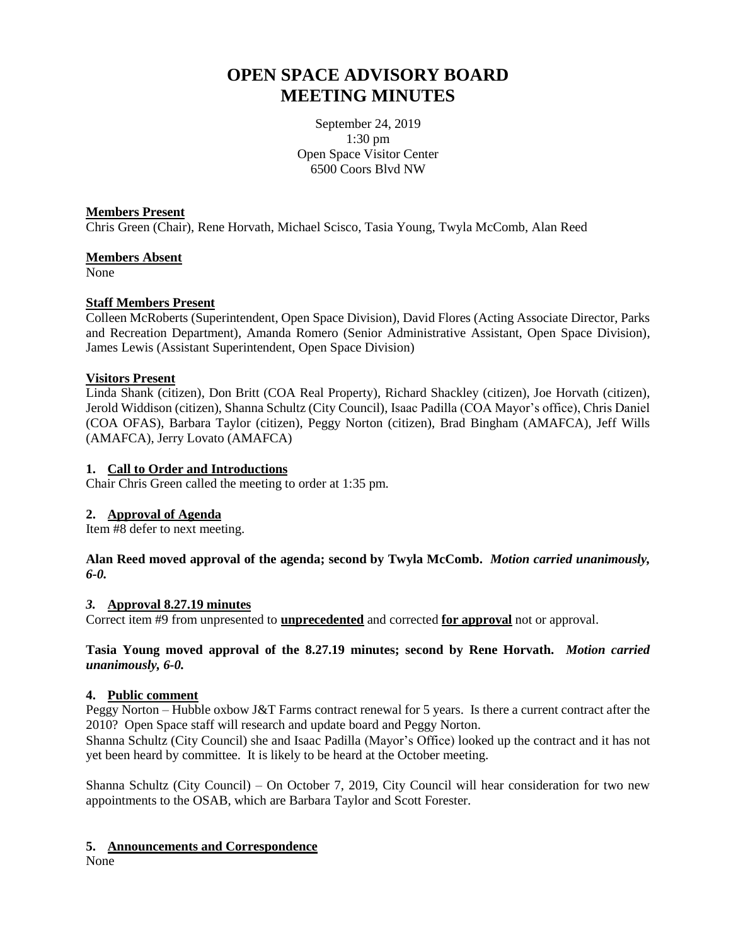# **OPEN SPACE ADVISORY BOARD MEETING MINUTES**

September 24, 2019 1:30 pm Open Space Visitor Center 6500 Coors Blvd NW

### **Members Present**

Chris Green (Chair), Rene Horvath, Michael Scisco, Tasia Young, Twyla McComb, Alan Reed

## **Members Absent**

None

# **Staff Members Present**

Colleen McRoberts (Superintendent, Open Space Division), David Flores (Acting Associate Director, Parks and Recreation Department), Amanda Romero (Senior Administrative Assistant, Open Space Division), James Lewis (Assistant Superintendent, Open Space Division)

# **Visitors Present**

Linda Shank (citizen), Don Britt (COA Real Property), Richard Shackley (citizen), Joe Horvath (citizen), Jerold Widdison (citizen), Shanna Schultz (City Council), Isaac Padilla (COA Mayor's office), Chris Daniel (COA OFAS), Barbara Taylor (citizen), Peggy Norton (citizen), Brad Bingham (AMAFCA), Jeff Wills (AMAFCA), Jerry Lovato (AMAFCA)

# **1. Call to Order and Introductions**

Chair Chris Green called the meeting to order at 1:35 pm.

# **2. Approval of Agenda**

Item #8 defer to next meeting.

### **Alan Reed moved approval of the agenda; second by Twyla McComb.** *Motion carried unanimously, 6-0.*

### *3.* **Approval 8.27.19 minutes**

Correct item #9 from unpresented to **unprecedented** and corrected **for approval** not or approval.

**Tasia Young moved approval of the 8.27.19 minutes; second by Rene Horvath.** *Motion carried unanimously, 6-0.*

# **4. Public comment**

Peggy Norton – Hubble oxbow J&T Farms contract renewal for 5 years. Is there a current contract after the 2010? Open Space staff will research and update board and Peggy Norton.

Shanna Schultz (City Council) she and Isaac Padilla (Mayor's Office) looked up the contract and it has not yet been heard by committee. It is likely to be heard at the October meeting.

Shanna Schultz (City Council) – On October 7, 2019, City Council will hear consideration for two new appointments to the OSAB, which are Barbara Taylor and Scott Forester.

# **5. Announcements and Correspondence**

None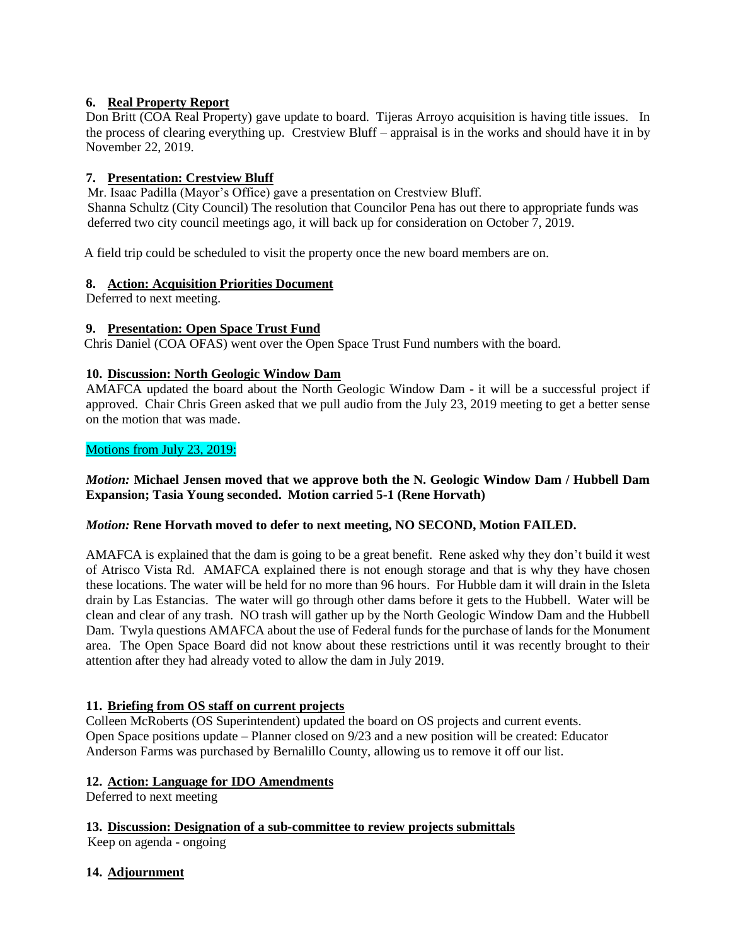# **6. Real Property Report**

Don Britt (COA Real Property) gave update to board. Tijeras Arroyo acquisition is having title issues. In the process of clearing everything up. Crestview Bluff – appraisal is in the works and should have it in by November 22, 2019.

## **7. Presentation: Crestview Bluff**

Mr. Isaac Padilla (Mayor's Office) gave a presentation on Crestview Bluff.

 Shanna Schultz (City Council) The resolution that Councilor Pena has out there to appropriate funds was deferred two city council meetings ago, it will back up for consideration on October 7, 2019.

A field trip could be scheduled to visit the property once the new board members are on.

### **8. Action: Acquisition Priorities Document**

Deferred to next meeting.

## **9. Presentation: Open Space Trust Fund**

Chris Daniel (COA OFAS) went over the Open Space Trust Fund numbers with the board.

## **10. Discussion: North Geologic Window Dam**

AMAFCA updated the board about the North Geologic Window Dam - it will be a successful project if approved. Chair Chris Green asked that we pull audio from the July 23, 2019 meeting to get a better sense on the motion that was made.

## Motions from July 23, 2019:

## *Motion:* **Michael Jensen moved that we approve both the N. Geologic Window Dam / Hubbell Dam Expansion; Tasia Young seconded. Motion carried 5-1 (Rene Horvath)**

### *Motion:* **Rene Horvath moved to defer to next meeting, NO SECOND, Motion FAILED.**

AMAFCA is explained that the dam is going to be a great benefit. Rene asked why they don't build it west of Atrisco Vista Rd. AMAFCA explained there is not enough storage and that is why they have chosen these locations. The water will be held for no more than 96 hours. For Hubble dam it will drain in the Isleta drain by Las Estancias. The water will go through other dams before it gets to the Hubbell. Water will be clean and clear of any trash. NO trash will gather up by the North Geologic Window Dam and the Hubbell Dam. Twyla questions AMAFCA about the use of Federal funds for the purchase of lands for the Monument area. The Open Space Board did not know about these restrictions until it was recently brought to their attention after they had already voted to allow the dam in July 2019.

### **11. Briefing from OS staff on current projects**

Colleen McRoberts (OS Superintendent) updated the board on OS projects and current events. Open Space positions update – Planner closed on 9/23 and a new position will be created: Educator Anderson Farms was purchased by Bernalillo County, allowing us to remove it off our list.

### **12. Action: Language for IDO Amendments**

Deferred to next meeting

**13. Discussion: Designation of a sub-committee to review projects submittals**

Keep on agenda - ongoing

# **14. Adjournment**